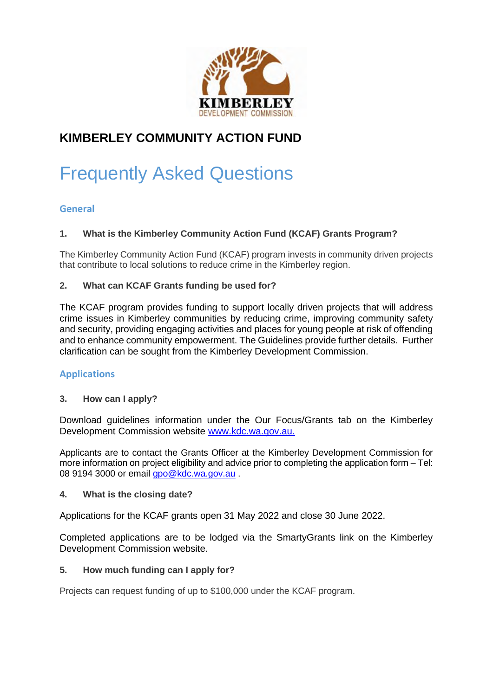

# **KIMBERLEY COMMUNITY ACTION FUND**

# Frequently Asked Questions

# **General**

# **1. What is the Kimberley Community Action Fund (KCAF) Grants Program?**

The Kimberley Community Action Fund (KCAF) program invests in community driven projects that contribute to local solutions to reduce crime in the Kimberley region.

#### **2. What can KCAF Grants funding be used for?**

The KCAF program provides funding to support locally driven projects that will address crime issues in Kimberley communities by reducing crime, improving community safety and security, providing engaging activities and places for young people at risk of offending and to enhance community empowerment. The Guidelines provide further details. Further clarification can be sought from the Kimberley Development Commission.

# **Applications**

# **3. How can I apply?**

Download guidelines information under the Our Focus/Grants tab on the Kimberley Development Commission website www.kdc.wa.gov.au.

Applicants are to contact the Grants Officer at the Kimberley Development Commission for more information on project eligibility and advice prior to completing the application form – Tel: 08 9194 3000 or email gpo@kdc.wa.gov.au.

#### **4. What is the closing date?**

Applications for the KCAF grants open 31 May 2022 and close 30 June 2022.

Completed applications are to be lodged via the SmartyGrants link on the Kimberley Development Commission website.

#### **5. How much funding can I apply for?**

Projects can request funding of up to \$100,000 under the KCAF program.